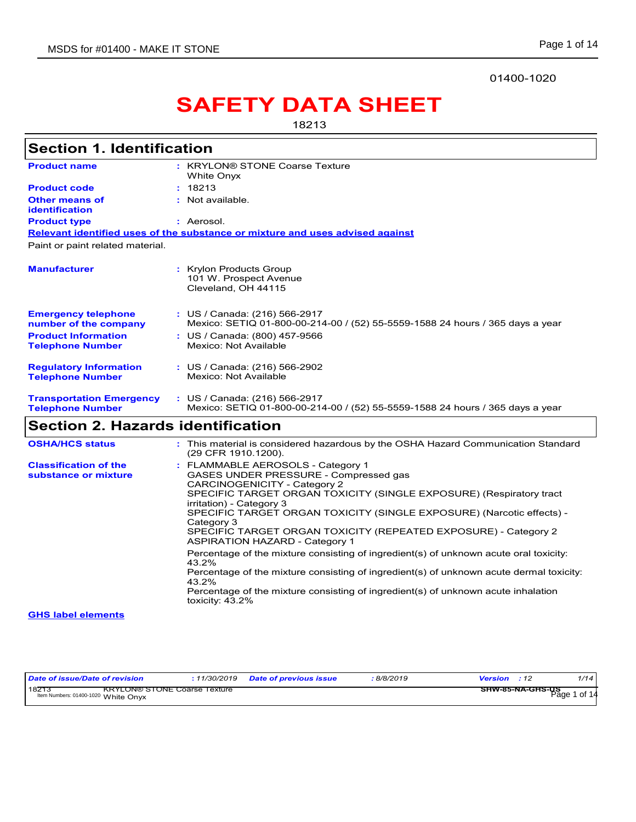01400-1020

# **SAFETY DATA SHEET**

18213

| <b>Section 1. Identification</b>                           |                                                                                                                                                                                                                                                                                                                                                                             |
|------------------------------------------------------------|-----------------------------------------------------------------------------------------------------------------------------------------------------------------------------------------------------------------------------------------------------------------------------------------------------------------------------------------------------------------------------|
| <b>Product name</b>                                        | : KRYLON® STONE Coarse Texture<br>White Onyx                                                                                                                                                                                                                                                                                                                                |
| <b>Product code</b>                                        | 18213                                                                                                                                                                                                                                                                                                                                                                       |
| <b>Other means of</b><br><b>identification</b>             | Not available.                                                                                                                                                                                                                                                                                                                                                              |
| <b>Product type</b>                                        | : Aerosol.                                                                                                                                                                                                                                                                                                                                                                  |
|                                                            | Relevant identified uses of the substance or mixture and uses advised against                                                                                                                                                                                                                                                                                               |
| Paint or paint related material.                           |                                                                                                                                                                                                                                                                                                                                                                             |
| <b>Manufacturer</b>                                        | : Krylon Products Group<br>101 W. Prospect Avenue<br>Cleveland, OH 44115                                                                                                                                                                                                                                                                                                    |
| <b>Emergency telephone</b><br>number of the company        | : US / Canada: (216) 566-2917<br>Mexico: SETIQ 01-800-00-214-00 / (52) 55-5559-1588 24 hours / 365 days a year                                                                                                                                                                                                                                                              |
| <b>Product Information</b><br><b>Telephone Number</b>      | : US / Canada: (800) 457-9566<br>Mexico: Not Available                                                                                                                                                                                                                                                                                                                      |
|                                                            |                                                                                                                                                                                                                                                                                                                                                                             |
| <b>Regulatory Information</b><br><b>Telephone Number</b>   | : US / Canada: (216) 566-2902<br>Mexico: Not Available                                                                                                                                                                                                                                                                                                                      |
| <b>Transportation Emergency</b><br><b>Telephone Number</b> | : US / Canada: (216) 566-2917<br>Mexico: SETIQ 01-800-00-214-00 / (52) 55-5559-1588 24 hours / 365 days a year                                                                                                                                                                                                                                                              |
| <b>Section 2. Hazards identification</b>                   |                                                                                                                                                                                                                                                                                                                                                                             |
| <b>OSHA/HCS status</b>                                     | This material is considered hazardous by the OSHA Hazard Communication Standard<br>(29 CFR 1910.1200).                                                                                                                                                                                                                                                                      |
| <b>Classification of the</b>                               | : FLAMMABLE AEROSOLS - Category 1                                                                                                                                                                                                                                                                                                                                           |
| substance or mixture                                       | GASES UNDER PRESSURE - Compressed gas<br>CARCINOGENICITY - Category 2<br>SPECIFIC TARGET ORGAN TOXICITY (SINGLE EXPOSURE) (Respiratory tract<br>irritation) - Category 3<br>SPECIFIC TARGET ORGAN TOXICITY (SINGLE EXPOSURE) (Narcotic effects) -<br>Category 3<br>SPECIFIC TARGET ORGAN TOXICITY (REPEATED EXPOSURE) - Category 2<br><b>ASPIRATION HAZARD - Category 1</b> |
|                                                            | Percentage of the mixture consisting of ingredient(s) of unknown acute oral toxicity:<br>43.2%                                                                                                                                                                                                                                                                              |
|                                                            | Percentage of the mixture consisting of ingredient(s) of unknown acute dermal toxicity:<br>43.2%                                                                                                                                                                                                                                                                            |
|                                                            | Percentage of the mixture consisting of ingredient(s) of unknown acute inhalation<br>toxicity: $43.2\%$                                                                                                                                                                                                                                                                     |
| <b>GHS label elements</b>                                  |                                                                                                                                                                                                                                                                                                                                                                             |

| Date of issue/Date of revision                                                      | 11/30/2019 | <b>Date of previous issue</b> | 8/8/2019 | <b>Version</b> : 12 | 1/14         |
|-------------------------------------------------------------------------------------|------------|-------------------------------|----------|---------------------|--------------|
| 18273<br><b>KRYLON® STONE Coarse Texture</b><br>Item Numbers: 01400-1020 White Onvx |            |                               |          | SHW-85-NA-GHS-US    | Page 1 of 14 |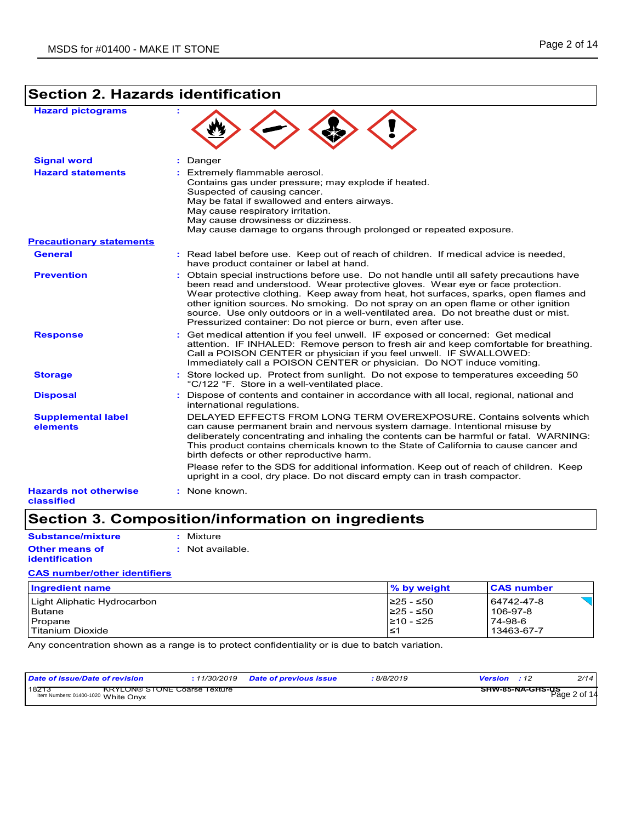## **Section 2. Hazards identification**

|  |  | <b>Hazard pictograms</b> |
|--|--|--------------------------|
|--|--|--------------------------|

| <b>Hazard pictograms</b>                   |                                                                                                                                                                                                                                                                                                                                                                                                                                                                                                                     |
|--------------------------------------------|---------------------------------------------------------------------------------------------------------------------------------------------------------------------------------------------------------------------------------------------------------------------------------------------------------------------------------------------------------------------------------------------------------------------------------------------------------------------------------------------------------------------|
| <b>Signal word</b>                         | Danger<br>÷.                                                                                                                                                                                                                                                                                                                                                                                                                                                                                                        |
| <b>Hazard statements</b>                   | : Extremely flammable aerosol.<br>Contains gas under pressure; may explode if heated.<br>Suspected of causing cancer.<br>May be fatal if swallowed and enters airways.<br>May cause respiratory irritation.<br>May cause drowsiness or dizziness.<br>May cause damage to organs through prolonged or repeated exposure.                                                                                                                                                                                             |
| <b>Precautionary statements</b>            |                                                                                                                                                                                                                                                                                                                                                                                                                                                                                                                     |
| <b>General</b>                             | : Read label before use. Keep out of reach of children. If medical advice is needed,<br>have product container or label at hand.                                                                                                                                                                                                                                                                                                                                                                                    |
| <b>Prevention</b>                          | : Obtain special instructions before use. Do not handle until all safety precautions have<br>been read and understood. Wear protective gloves. Wear eye or face protection.<br>Wear protective clothing. Keep away from heat, hot surfaces, sparks, open flames and<br>other ignition sources. No smoking. Do not spray on an open flame or other ignition<br>source. Use only outdoors or in a well-ventilated area. Do not breathe dust or mist.<br>Pressurized container: Do not pierce or burn, even after use. |
| <b>Response</b>                            | : Get medical attention if you feel unwell. IF exposed or concerned: Get medical<br>attention. IF INHALED: Remove person to fresh air and keep comfortable for breathing.<br>Call a POISON CENTER or physician if you feel unwell. IF SWALLOWED:<br>Immediately call a POISON CENTER or physician. Do NOT induce vomiting.                                                                                                                                                                                          |
| <b>Storage</b>                             | : Store locked up. Protect from sunlight. Do not expose to temperatures exceeding 50<br>°C/122 °F. Store in a well-ventilated place.                                                                                                                                                                                                                                                                                                                                                                                |
| <b>Disposal</b>                            | : Dispose of contents and container in accordance with all local, regional, national and<br>international regulations.                                                                                                                                                                                                                                                                                                                                                                                              |
| <b>Supplemental label</b><br>elements      | DELAYED EFFECTS FROM LONG TERM OVEREXPOSURE, Contains solvents which<br>can cause permanent brain and nervous system damage. Intentional misuse by<br>deliberately concentrating and inhaling the contents can be harmful or fatal. WARNING:<br>This product contains chemicals known to the State of California to cause cancer and<br>birth defects or other reproductive harm.<br>Please refer to the SDS for additional information. Keep out of reach of children. Keep                                        |
|                                            | upright in a cool, dry place. Do not discard empty can in trash compactor.                                                                                                                                                                                                                                                                                                                                                                                                                                          |
| <b>Hazards not otherwise</b><br>classified | : None known.                                                                                                                                                                                                                                                                                                                                                                                                                                                                                                       |

## **Section 3. Composition/information on ingredients**

**Other means of identification :** Not available. **Substance/mixture CAS number/other identifiers :** Mixture

| <b>Ingredient name</b>      | % by weight | <b>CAS number</b> |
|-----------------------------|-------------|-------------------|
| Light Aliphatic Hydrocarbon | I≥25 - ≤50  | 64742-47-8        |
| Butane                      | I≥25 - ≤50  | 106-97-8          |
| Propane                     | I≥10 - ≤25  | 74-98-6           |
| Titanium Dioxide            | l≤1         | 13463-67-7        |

Any concentration shown as a range is to protect confidentiality or is due to batch variation.

| Date of issue/Date of revision                                                      |  | 8/8/2019 <del>:</del> | <b>Version</b> : 12                     | 2/14 |
|-------------------------------------------------------------------------------------|--|-----------------------|-----------------------------------------|------|
| 18213<br><b>KRYLON® STONE Coarse Texture</b><br>Item Numbers: 01400-1020 White Onvx |  |                       | <b>SHW-85-NA-GHS-US</b><br>Page 2 of 14 |      |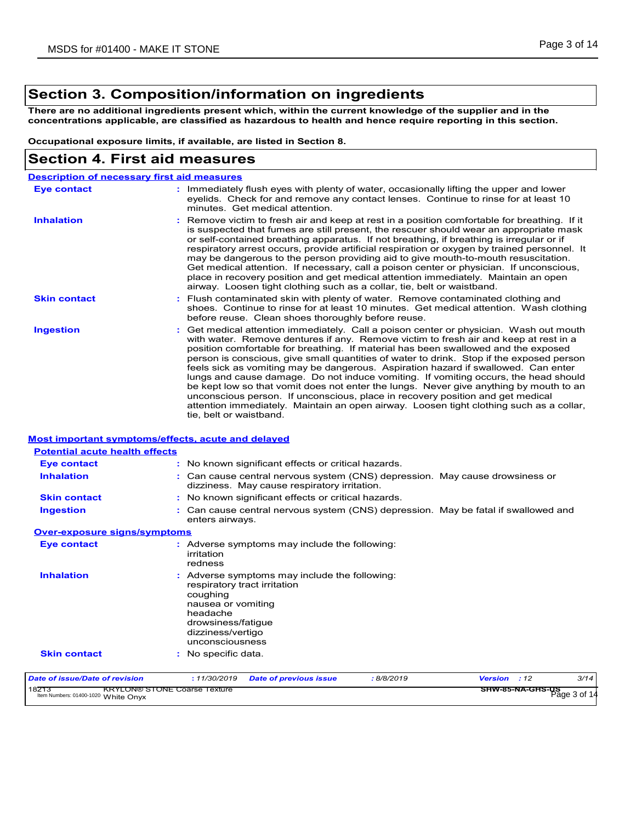## **Section 3. Composition/information on ingredients**

**There are no additional ingredients present which, within the current knowledge of the supplier and in the concentrations applicable, are classified as hazardous to health and hence require reporting in this section.**

**Occupational exposure limits, if available, are listed in Section 8.**

### **Section 4. First aid measures**

| <b>Description of necessary first aid measures</b> |                                                                                                                                                                                                                                                                                                                                                                                                                                                                                                                                                                                                                                                                                                                                                                                                                                                 |
|----------------------------------------------------|-------------------------------------------------------------------------------------------------------------------------------------------------------------------------------------------------------------------------------------------------------------------------------------------------------------------------------------------------------------------------------------------------------------------------------------------------------------------------------------------------------------------------------------------------------------------------------------------------------------------------------------------------------------------------------------------------------------------------------------------------------------------------------------------------------------------------------------------------|
| Eye contact                                        | : Immediately flush eyes with plenty of water, occasionally lifting the upper and lower<br>eyelids. Check for and remove any contact lenses. Continue to rinse for at least 10<br>minutes. Get medical attention.                                                                                                                                                                                                                                                                                                                                                                                                                                                                                                                                                                                                                               |
| <b>Inhalation</b>                                  | : Remove victim to fresh air and keep at rest in a position comfortable for breathing. If it<br>is suspected that fumes are still present, the rescuer should wear an appropriate mask<br>or self-contained breathing apparatus. If not breathing, if breathing is irregular or if<br>respiratory arrest occurs, provide artificial respiration or oxygen by trained personnel. It<br>may be dangerous to the person providing aid to give mouth-to-mouth resuscitation.<br>Get medical attention. If necessary, call a poison center or physician. If unconscious,<br>place in recovery position and get medical attention immediately. Maintain an open<br>airway. Loosen tight clothing such as a collar, tie, belt or waistband.                                                                                                            |
| <b>Skin contact</b>                                | : Flush contaminated skin with plenty of water. Remove contaminated clothing and<br>shoes. Continue to rinse for at least 10 minutes. Get medical attention. Wash clothing<br>before reuse. Clean shoes thoroughly before reuse.                                                                                                                                                                                                                                                                                                                                                                                                                                                                                                                                                                                                                |
| <b>Ingestion</b>                                   | : Get medical attention immediately. Call a poison center or physician. Wash out mouth<br>with water. Remove dentures if any. Remove victim to fresh air and keep at rest in a<br>position comfortable for breathing. If material has been swallowed and the exposed<br>person is conscious, give small quantities of water to drink. Stop if the exposed person<br>feels sick as vomiting may be dangerous. Aspiration hazard if swallowed. Can enter<br>lungs and cause damage. Do not induce vomiting. If vomiting occurs, the head should<br>be kept low so that vomit does not enter the lungs. Never give anything by mouth to an<br>unconscious person. If unconscious, place in recovery position and get medical<br>attention immediately. Maintain an open airway. Loosen tight clothing such as a collar,<br>tie, belt or waistband. |

#### **Most important symptoms/effects, acute and delayed**

| <b>Potential acute health effects</b>                                               |                                                                                                                                          |                                                                                                                              |           |              |                                  |      |
|-------------------------------------------------------------------------------------|------------------------------------------------------------------------------------------------------------------------------------------|------------------------------------------------------------------------------------------------------------------------------|-----------|--------------|----------------------------------|------|
| <b>Eye contact</b>                                                                  |                                                                                                                                          | : No known significant effects or critical hazards.                                                                          |           |              |                                  |      |
| <b>Inhalation</b>                                                                   |                                                                                                                                          | : Can cause central nervous system (CNS) depression. May cause drowsiness or<br>dizziness. May cause respiratory irritation. |           |              |                                  |      |
| <b>Skin contact</b>                                                                 |                                                                                                                                          | : No known significant effects or critical hazards.                                                                          |           |              |                                  |      |
| <b>Ingestion</b>                                                                    | enters airways.                                                                                                                          | : Can cause central nervous system (CNS) depression. May be fatal if swallowed and                                           |           |              |                                  |      |
| <b>Over-exposure signs/symptoms</b>                                                 |                                                                                                                                          |                                                                                                                              |           |              |                                  |      |
| <b>Eye contact</b>                                                                  | irritation<br>redness                                                                                                                    | : Adverse symptoms may include the following:                                                                                |           |              |                                  |      |
| <b>Inhalation</b>                                                                   | respiratory tract irritation<br>coughing<br>nausea or vomiting<br>headache<br>drowsiness/fatique<br>dizziness/vertigo<br>unconsciousness | : Adverse symptoms may include the following:                                                                                |           |              |                                  |      |
| <b>Skin contact</b>                                                                 | : No specific data.                                                                                                                      |                                                                                                                              |           |              |                                  |      |
| Date of issue/Date of revision                                                      | : 11/30/2019                                                                                                                             | <b>Date of previous issue</b>                                                                                                | :8/8/2019 | Version : 12 |                                  | 3/14 |
| 18213<br><b>KRYLON® STONE Coarse Texture</b><br>Item Numbers: 01400-1020 White Onyx |                                                                                                                                          |                                                                                                                              |           |              | SHW-85-NA-GHS-US<br>Page 3 of 14 |      |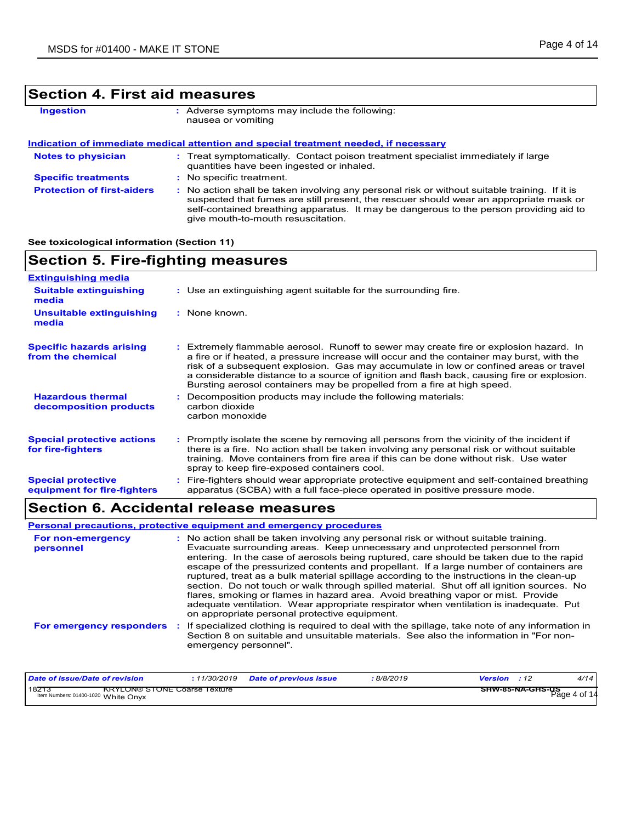## **Section 4. First aid measures**

| <b>Ingestion</b>                  | : Adverse symptoms may include the following:<br>nausea or vomiting                                                                                                                     |
|-----------------------------------|-----------------------------------------------------------------------------------------------------------------------------------------------------------------------------------------|
|                                   | Indication of immediate medical attention and special treatment needed, if necessary                                                                                                    |
| <b>Notes to physician</b>         | : Treat symptomatically. Contact poison treatment specialist immediately if large<br>quantities have been ingested or inhaled.                                                          |
| <b>Specific treatments</b>        | : No specific treatment.                                                                                                                                                                |
| <b>Protection of first-aiders</b> | : No action shall be taken involving any personal risk or without suitable training. If it is<br>suspected that fumes are still present, the rescuer should wear an appropriate mask or |

give mouth-to-mouth resuscitation.

#### **See toxicological information (Section 11)**

| <b>Section 5. Fire-fighting measures</b>                 |                                                                                                                                                                                                                                                                                                                                                                                                                                                       |
|----------------------------------------------------------|-------------------------------------------------------------------------------------------------------------------------------------------------------------------------------------------------------------------------------------------------------------------------------------------------------------------------------------------------------------------------------------------------------------------------------------------------------|
| <b>Extinguishing media</b>                               |                                                                                                                                                                                                                                                                                                                                                                                                                                                       |
| <b>Suitable extinguishing</b><br>media                   | : Use an extinguishing agent suitable for the surrounding fire.                                                                                                                                                                                                                                                                                                                                                                                       |
| Unsuitable extinguishing<br>media                        | : None known.                                                                                                                                                                                                                                                                                                                                                                                                                                         |
| <b>Specific hazards arising</b><br>from the chemical     | : Extremely flammable aerosol. Runoff to sewer may create fire or explosion hazard. In<br>a fire or if heated, a pressure increase will occur and the container may burst, with the<br>risk of a subsequent explosion. Gas may accumulate in low or confined areas or travel<br>a considerable distance to a source of ignition and flash back, causing fire or explosion.<br>Bursting aerosol containers may be propelled from a fire at high speed. |
| <b>Hazardous thermal</b><br>decomposition products       | Decomposition products may include the following materials:<br>carbon dioxide<br>carbon monoxide                                                                                                                                                                                                                                                                                                                                                      |
| <b>Special protective actions</b><br>for fire-fighters   | : Promptly isolate the scene by removing all persons from the vicinity of the incident if<br>there is a fire. No action shall be taken involving any personal risk or without suitable<br>training. Move containers from fire area if this can be done without risk. Use water<br>spray to keep fire-exposed containers cool.                                                                                                                         |
| <b>Special protective</b><br>equipment for fire-fighters | Fire-fighters should wear appropriate protective equipment and self-contained breathing<br>apparatus (SCBA) with a full face-piece operated in positive pressure mode.                                                                                                                                                                                                                                                                                |

self-contained breathing apparatus. It may be dangerous to the person providing aid to

## **Section 6. Accidental release measures**

|                                | <b>Personal precautions, protective equipment and emergency procedures</b>                                                                                                                                                                                                                                                                                                                                                                                                                                                                                                                                                                                                                                                                                                       |
|--------------------------------|----------------------------------------------------------------------------------------------------------------------------------------------------------------------------------------------------------------------------------------------------------------------------------------------------------------------------------------------------------------------------------------------------------------------------------------------------------------------------------------------------------------------------------------------------------------------------------------------------------------------------------------------------------------------------------------------------------------------------------------------------------------------------------|
| For non-emergency<br>personnel | : No action shall be taken involving any personal risk or without suitable training.<br>Evacuate surrounding areas. Keep unnecessary and unprotected personnel from<br>entering. In the case of aerosols being ruptured, care should be taken due to the rapid<br>escape of the pressurized contents and propellant. If a large number of containers are<br>ruptured, treat as a bulk material spillage according to the instructions in the clean-up<br>section. Do not touch or walk through spilled material. Shut off all ignition sources. No<br>flares, smoking or flames in hazard area. Avoid breathing vapor or mist. Provide<br>adequate ventilation. Wear appropriate respirator when ventilation is inadequate. Put<br>on appropriate personal protective equipment. |
| For emergency responders       | : If specialized clothing is required to deal with the spillage, take note of any information in<br>Section 8 on suitable and unsuitable materials. See also the information in "For non-<br>emergency personnel".                                                                                                                                                                                                                                                                                                                                                                                                                                                                                                                                                               |

| Date of issue/Date of revision                                                      | .11/30/2019 | <b>Date of previous issue</b> | 8/8/2019 | <b>Version</b> : 12                     | 4/14 |
|-------------------------------------------------------------------------------------|-------------|-------------------------------|----------|-----------------------------------------|------|
| 18213<br><b>KRYLON® STONE Coarse Texture</b><br>Item Numbers: 01400-1020 White Onyx |             |                               |          | <b>SHW-85-NA-GHS-US</b><br>Page 4 of 14 |      |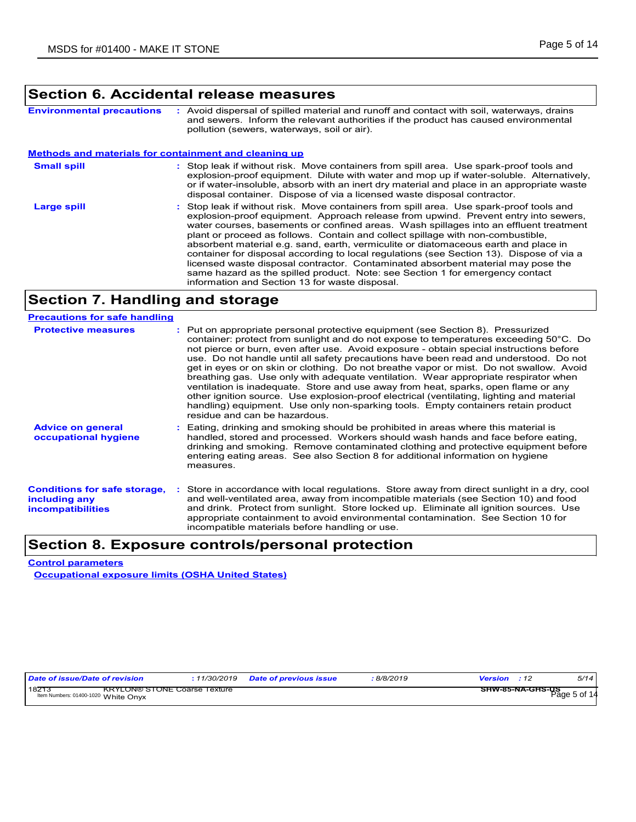### **Section 6. Accidental release measures**

**Environmental precautions :** Avoid dispersal of spilled material and runoff and contact with soil, waterways, drains and sewers. Inform the relevant authorities if the product has caused environmental pollution (sewers, waterways, soil or air).

#### **Small spill : Methods and materials for containment and cleaning up**

- : Stop leak if without risk. Move containers from spill area. Use spark-proof tools and explosion-proof equipment. Dilute with water and mop up if water-soluble. Alternatively, or if water-insoluble, absorb with an inert dry material and place in an appropriate waste disposal container. Dispose of via a licensed waste disposal contractor.
- : Stop leak if without risk. Move containers from spill area. Use spark-proof tools and explosion-proof equipment. Approach release from upwind. Prevent entry into sewers, water courses, basements or confined areas. Wash spillages into an effluent treatment plant or proceed as follows. Contain and collect spillage with non-combustible, absorbent material e.g. sand, earth, vermiculite or diatomaceous earth and place in container for disposal according to local regulations (see Section 13). Dispose of via a licensed waste disposal contractor. Contaminated absorbent material may pose the same hazard as the spilled product. Note: see Section 1 for emergency contact information and Section 13 for waste disposal. **Large spill :**

### **Section 7. Handling and storage**

#### **Precautions for safe handling**

| <b>Protective measures</b>                                                       | : Put on appropriate personal protective equipment (see Section 8). Pressurized<br>container: protect from sunlight and do not expose to temperatures exceeding 50°C. Do<br>not pierce or burn, even after use. Avoid exposure - obtain special instructions before<br>use. Do not handle until all safety precautions have been read and understood. Do not<br>get in eyes or on skin or clothing. Do not breathe vapor or mist. Do not swallow. Avoid<br>breathing gas. Use only with adequate ventilation. Wear appropriate respirator when<br>ventilation is inadequate. Store and use away from heat, sparks, open flame or any<br>other ignition source. Use explosion-proof electrical (ventilating, lighting and material<br>handling) equipment. Use only non-sparking tools. Empty containers retain product<br>residue and can be hazardous. |
|----------------------------------------------------------------------------------|---------------------------------------------------------------------------------------------------------------------------------------------------------------------------------------------------------------------------------------------------------------------------------------------------------------------------------------------------------------------------------------------------------------------------------------------------------------------------------------------------------------------------------------------------------------------------------------------------------------------------------------------------------------------------------------------------------------------------------------------------------------------------------------------------------------------------------------------------------|
| <b>Advice on general</b><br>occupational hygiene                                 | : Eating, drinking and smoking should be prohibited in areas where this material is<br>handled, stored and processed. Workers should wash hands and face before eating.<br>drinking and smoking. Remove contaminated clothing and protective equipment before<br>entering eating areas. See also Section 8 for additional information on hygiene<br>measures.                                                                                                                                                                                                                                                                                                                                                                                                                                                                                           |
| <b>Conditions for safe storage,</b><br>including any<br><b>incompatibilities</b> | : Store in accordance with local regulations. Store away from direct sunlight in a dry, cool<br>and well-ventilated area, away from incompatible materials (see Section 10) and food<br>and drink. Protect from sunlight. Store locked up. Eliminate all ignition sources. Use<br>appropriate containment to avoid environmental contamination. See Section 10 for<br>incompatible materials before handling or use.                                                                                                                                                                                                                                                                                                                                                                                                                                    |

### **Section 8. Exposure controls/personal protection**

**Control parameters Occupational exposure limits (OSHA United States)**

|  | Date of issue/Date of revision |  |  |  |
|--|--------------------------------|--|--|--|
|  |                                |  |  |  |

18213 KRYLON® STONE Coarse Texture<br>
Item Numbers: 01400-1020 White Onyx

*Date of issue/Date of revision* **:** *11/30/2019 Date of previous issue : 8/8/2019 Version : 12 5/14*

**SHW-85-NA-GHS-US** Item Numbers: 01400-1020 Page 5 of 14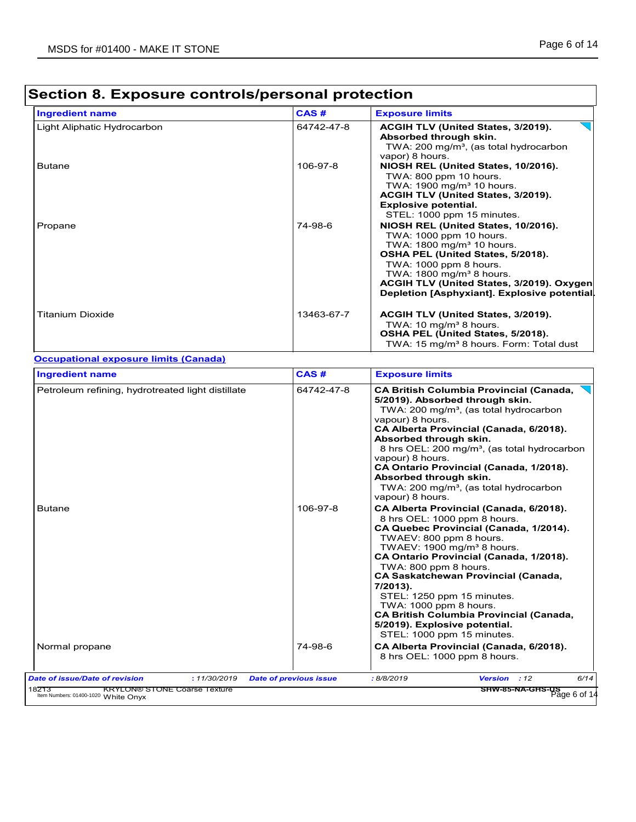#### Light Aliphatic Hydrocarbon **Access 12019 64742-47-8 ACGIH TLV (United States, 3/2019). Absorbed through skin.**  TWA: 200 mg/m<sup>3</sup>, (as total hydrocarbon vapor) 8 hours. Butane 106-97-8 **NIOSH REL (United States, 10/2016).**  TWA: 800 ppm 10 hours. TWA:  $1900$  mg/m $3$  10 hours. **ACGIH TLV (United States, 3/2019). Explosive potential.**  STEL: 1000 ppm 15 minutes. Propane 74-98-6 **NIOSH REL (United States, 10/2016).** TWA: 1000 ppm 10 hours. TWA:  $1800 \text{ mg/m}^3$  10 hours. **OSHA PEL (United States, 5/2018).** TWA: 1000 ppm 8 hours. TWA:  $1800$  mg/m<sup>3</sup> 8 hours. **ACGIH TLV (United States, 3/2019). Oxygen Depletion [Asphyxiant]. Explosive potential.** Titanium Dioxide 13463-67-7 **ACGIH TLV (United States, 3/2019).** TWA: 10 mg/m $3$  8 hours. **OSHA PEL (United States, 5/2018).** TWA: 15 mg/m<sup>3</sup> 8 hours. Form: Total dust **Ingredient name Exposure limits Exposure limits** Petroleum refining, hydrotreated light distillate 64742-47-8 **CA British Columbia Provincial (Canada, 5/2019). Absorbed through skin.**  TWA: 200 mg/m<sup>3</sup>, (as total hydrocarbon vapour) 8 hours. **CA Alberta Provincial (Canada, 6/2018). Absorbed through skin.**  8 hrs OEL: 200 mg/m<sup>3</sup>, (as total hydrocarbon vapour) 8 hours. **CA Ontario Provincial (Canada, 1/2018). Absorbed through skin.**  TWA: 200 mg/m<sup>3</sup>, (as total hydrocarbon vapour) 8 hours. Butane 106-97-8 **CA Alberta Provincial (Canada, 6/2018).** Canada, 6/2018). 8 hrs OEL: 1000 ppm 8 hours. **CA Quebec Provincial (Canada, 1/2014).** TWAEV: 800 ppm 8 hours. TWAEV:  $1900$  mg/m<sup>3</sup> 8 hours. **CA Ontario Provincial (Canada, 1/2018).** TWA: 800 ppm 8 hours. **CA Saskatchewan Provincial (Canada, 7/2013).** STEL: 1250 ppm 15 minutes. TWA: 1000 ppm 8 hours. **CA British Columbia Provincial (Canada, 5/2019). Explosive potential.**  STEL: 1000 ppm 15 minutes. Normal propane 74-98-6 **CA Alberta Provincial (Canada, 6/2018).** 8 hrs OEL: 1000 ppm 8 hours. **Ingredient name Exposure limits Exposure limits Occupational exposure limits (Canada) CAS # CAS #** *Date of issue/Date of revision* **:** *11/30/2019 Date of previous issue : 8/8/2019 Version : 12 6/14* 18213 KRYLON® STONE Coarse Texture 18213<br>
Item Numbers: 01400-1020 White Onyx **SHW-85-NA-GHS-US** Item Numbers: 01400-1020 Page 6 of 14

### **Section 8. Exposure controls/personal protection**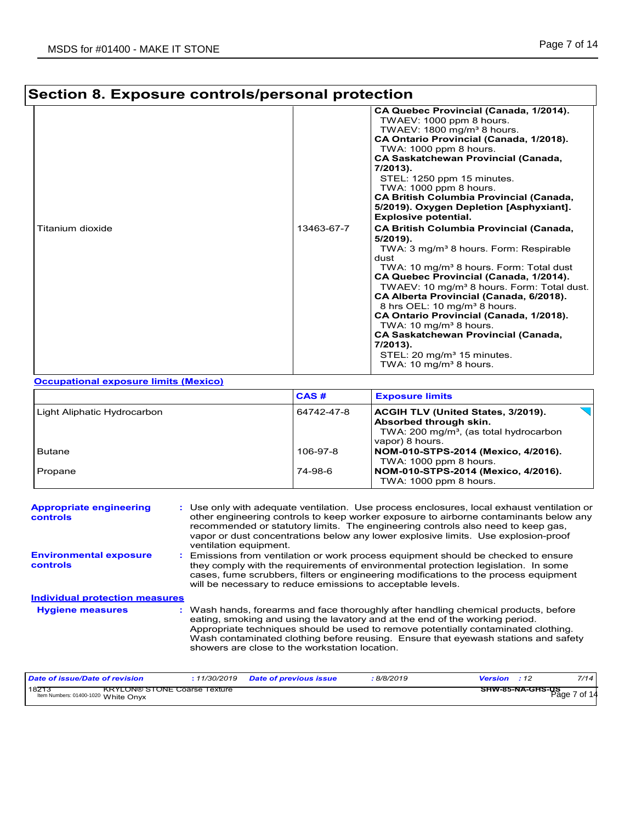# **Section 8. Exposure controls/personal protection**

| Titanium dioxide | 13463-67-7 | CA Quebec Provincial (Canada, 1/2014).<br>TWAEV: 1000 ppm 8 hours.<br>TWAEV: 1800 mg/m <sup>3</sup> 8 hours.<br>CA Ontario Provincial (Canada, 1/2018).<br>TWA: 1000 ppm 8 hours.<br><b>CA Saskatchewan Provincial (Canada,</b><br>7/2013).<br>STEL: 1250 ppm 15 minutes.<br>TWA: $1000$ ppm 8 hours.<br><b>CA British Columbia Provincial (Canada,</b><br>5/2019). Oxygen Depletion [Asphyxiant].<br><b>Explosive potential.</b><br><b>CA British Columbia Provincial (Canada,</b><br>5/2019).<br>TWA: 3 mg/m <sup>3</sup> 8 hours. Form: Respirable<br>dust<br>TWA: 10 mg/m <sup>3</sup> 8 hours. Form: Total dust<br>CA Quebec Provincial (Canada, 1/2014).<br>TWAEV: 10 mg/m <sup>3</sup> 8 hours. Form: Total dust.<br>CA Alberta Provincial (Canada, 6/2018).<br>8 hrs OEL: 10 mg/m <sup>3</sup> 8 hours.<br>CA Ontario Provincial (Canada, 1/2018).<br>TWA: 10 mg/m <sup>3</sup> 8 hours. |
|------------------|------------|--------------------------------------------------------------------------------------------------------------------------------------------------------------------------------------------------------------------------------------------------------------------------------------------------------------------------------------------------------------------------------------------------------------------------------------------------------------------------------------------------------------------------------------------------------------------------------------------------------------------------------------------------------------------------------------------------------------------------------------------------------------------------------------------------------------------------------------------------------------------------------------------------|
|                  |            | <b>CA Saskatchewan Provincial (Canada,</b><br>$7/2013$ ).<br>STEL: 20 mg/m <sup>3</sup> 15 minutes.<br>TWA: $10 \text{ mg/m}^3$ 8 hours.                                                                                                                                                                                                                                                                                                                                                                                                                                                                                                                                                                                                                                                                                                                                                         |

#### **Occupational exposure limits (Mexico)**

|                             | CAS#       | <b>Exposure limits</b>                                                                                                                |    |
|-----------------------------|------------|---------------------------------------------------------------------------------------------------------------------------------------|----|
| Light Aliphatic Hydrocarbon | 64742-47-8 | ACGIH TLV (United States, 3/2019).<br>Absorbed through skin.<br>TWA: 200 mg/m <sup>3</sup> , (as total hydrocarbon<br>vapor) 8 hours. | JH |
| <b>Butane</b>               | 106-97-8   | NOM-010-STPS-2014 (Mexico, 4/2016).<br>TWA: 1000 ppm 8 hours.                                                                         |    |
| Propane                     | 74-98-6    | NOM-010-STPS-2014 (Mexico, 4/2016).<br>TWA: 1000 ppm 8 hours.                                                                         |    |

| <b>Appropriate engineering</b><br>controls | : Use only with adequate ventilation. Use process enclosures, local exhaust ventilation or<br>other engineering controls to keep worker exposure to airborne contaminants below any<br>recommended or statutory limits. The engineering controls also need to keep gas,<br>vapor or dust concentrations below any lower explosive limits. Use explosion-proof<br>ventilation equipment.           |
|--------------------------------------------|---------------------------------------------------------------------------------------------------------------------------------------------------------------------------------------------------------------------------------------------------------------------------------------------------------------------------------------------------------------------------------------------------|
| <b>Environmental exposure</b><br>controls  | Emissions from ventilation or work process equipment should be checked to ensure<br>they comply with the requirements of environmental protection legislation. In some<br>cases, fume scrubbers, filters or engineering modifications to the process equipment<br>will be necessary to reduce emissions to acceptable levels.                                                                     |
| <b>Individual protection measures</b>      |                                                                                                                                                                                                                                                                                                                                                                                                   |
| <b>Hygiene measures</b>                    | : Wash hands, forearms and face thoroughly after handling chemical products, before<br>eating, smoking and using the lavatory and at the end of the working period.<br>Appropriate techniques should be used to remove potentially contaminated clothing.<br>Wash contaminated clothing before reusing. Ensure that eyewash stations and safety<br>showers are close to the workstation location. |

| Date of issue/Date of revision                           | 11/30/2019                          | <b>Date of previous issue</b> | 8/8/2019 | <b>Version</b> : 12                     | 7/14 |
|----------------------------------------------------------|-------------------------------------|-------------------------------|----------|-----------------------------------------|------|
| 182T <sub>3</sub><br>Item Numbers: 01400-1020 White Onyx | <b>KRYLON® STONE Coarse Texture</b> |                               |          | <b>SHW-85-NA-GHS-US</b><br>Page 7 of 14 |      |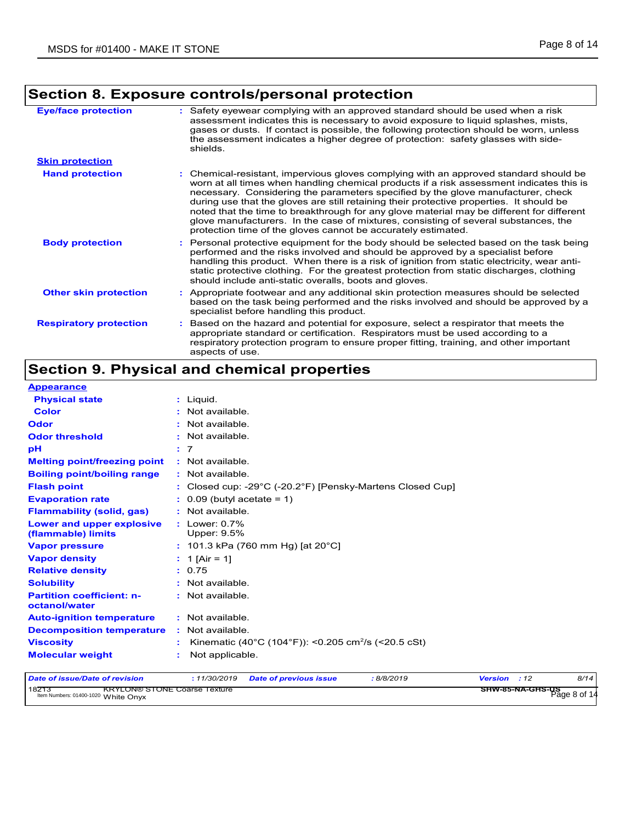## **Section 8. Exposure controls/personal protection**

| <b>Eye/face protection</b>    | Safety eyewear complying with an approved standard should be used when a risk<br>assessment indicates this is necessary to avoid exposure to liquid splashes, mists,<br>gases or dusts. If contact is possible, the following protection should be worn, unless<br>the assessment indicates a higher degree of protection: safety glasses with side-<br>shields.                                                                                                                                                                                                                                                       |
|-------------------------------|------------------------------------------------------------------------------------------------------------------------------------------------------------------------------------------------------------------------------------------------------------------------------------------------------------------------------------------------------------------------------------------------------------------------------------------------------------------------------------------------------------------------------------------------------------------------------------------------------------------------|
| <b>Skin protection</b>        |                                                                                                                                                                                                                                                                                                                                                                                                                                                                                                                                                                                                                        |
| <b>Hand protection</b>        | : Chemical-resistant, impervious gloves complying with an approved standard should be<br>worn at all times when handling chemical products if a risk assessment indicates this is<br>necessary. Considering the parameters specified by the glove manufacturer, check<br>during use that the gloves are still retaining their protective properties. It should be<br>noted that the time to breakthrough for any glove material may be different for different<br>glove manufacturers. In the case of mixtures, consisting of several substances, the<br>protection time of the gloves cannot be accurately estimated. |
| <b>Body protection</b>        | : Personal protective equipment for the body should be selected based on the task being<br>performed and the risks involved and should be approved by a specialist before<br>handling this product. When there is a risk of ignition from static electricity, wear anti-<br>static protective clothing. For the greatest protection from static discharges, clothing<br>should include anti-static overalls, boots and gloves.                                                                                                                                                                                         |
| <b>Other skin protection</b>  | : Appropriate footwear and any additional skin protection measures should be selected<br>based on the task being performed and the risks involved and should be approved by a<br>specialist before handling this product.                                                                                                                                                                                                                                                                                                                                                                                              |
| <b>Respiratory protection</b> | Based on the hazard and potential for exposure, select a respirator that meets the<br>appropriate standard or certification. Respirators must be used according to a<br>respiratory protection program to ensure proper fitting, training, and other important<br>aspects of use.                                                                                                                                                                                                                                                                                                                                      |

## **Section 9. Physical and chemical properties**

| <b>Appearance</b>                                 |                                                                                     |
|---------------------------------------------------|-------------------------------------------------------------------------------------|
| <b>Physical state</b>                             | $:$ Liquid.                                                                         |
| <b>Color</b>                                      | : Not available.                                                                    |
| <b>Odor</b>                                       | : Not available.                                                                    |
| <b>Odor threshold</b>                             | : Not available.                                                                    |
| рH                                                | : 7                                                                                 |
| <b>Melting point/freezing point</b>               | : Not available.                                                                    |
| <b>Boiling point/boiling range</b>                | : Not available.                                                                    |
| <b>Flash point</b>                                | : Closed cup: -29 $^{\circ}$ C (-20.2 $^{\circ}$ F) [Pensky-Martens Closed Cup]     |
| <b>Evaporation rate</b>                           | $\therefore$ 0.09 (butyl acetate = 1)                                               |
| <b>Flammability (solid, gas)</b>                  | : Not available.                                                                    |
| Lower and upper explosive<br>(flammable) limits   | $:$ Lower: 0.7%<br>Upper: 9.5%                                                      |
| <b>Vapor pressure</b>                             | : 101.3 kPa (760 mm Hg) [at 20 $^{\circ}$ C]                                        |
| <b>Vapor density</b>                              | : 1 [Air = 1]                                                                       |
| <b>Relative density</b>                           | : 0.75                                                                              |
| <b>Solubility</b>                                 | : Not available.                                                                    |
| <b>Partition coefficient: n-</b><br>octanol/water | : Not available.                                                                    |
| <b>Auto-ignition temperature</b>                  | : Not available.                                                                    |
| <b>Decomposition temperature</b>                  | : Not available.                                                                    |
| <b>Viscosity</b>                                  | Kinematic (40°C (104°F)): <0.205 cm <sup>2</sup> /s (<20.5 cSt)                     |
| <b>Molecular weight</b>                           | Not applicable.                                                                     |
| <b>Date of issue/Date of revision</b>             | : 11/30/2019<br>Version : 12<br>8/14<br><b>Date of previous issue</b><br>: 8/8/2019 |

18213 KRYLON® STONE Coarse Texture<br>Item Numbers: 01400-1020 White Onyx<br>Page 8 of 14 **SHW-85-NA-GHS-US**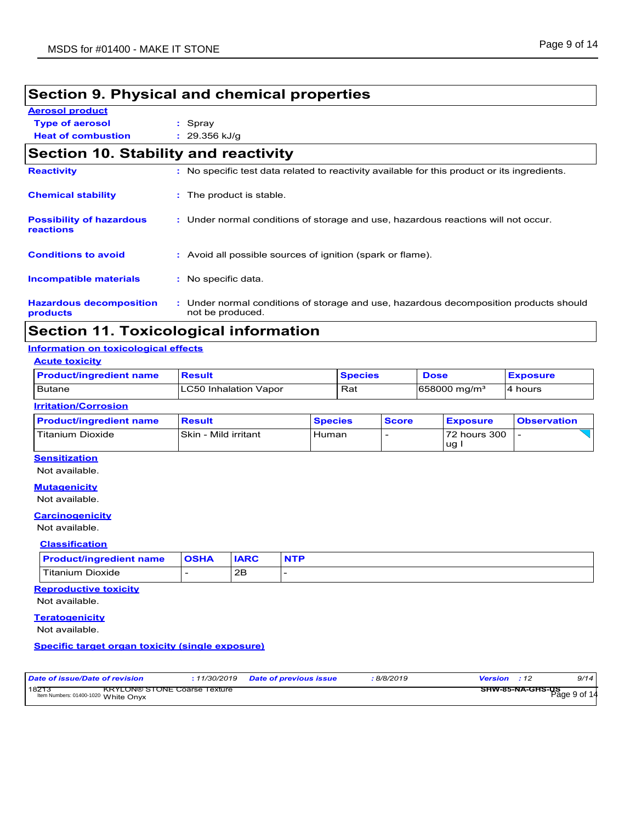## **Section 9. Physical and chemical properties**

**Aerosol product**

**Type of aerosol :** Spray

**Heat of combustion :** 29.356 kJ/g

|                                              | Section 10. Stability and reactivity                                                                      |  |  |  |  |
|----------------------------------------------|-----------------------------------------------------------------------------------------------------------|--|--|--|--|
| <b>Reactivity</b>                            | : No specific test data related to reactivity available for this product or its ingredients.              |  |  |  |  |
| <b>Chemical stability</b>                    | : The product is stable.                                                                                  |  |  |  |  |
| <b>Possibility of hazardous</b><br>reactions | : Under normal conditions of storage and use, hazardous reactions will not occur.                         |  |  |  |  |
| <b>Conditions to avoid</b>                   | : Avoid all possible sources of ignition (spark or flame).                                                |  |  |  |  |
| <b>Incompatible materials</b>                | : No specific data.                                                                                       |  |  |  |  |
| <b>Hazardous decomposition</b><br>products   | : Under normal conditions of storage and use, hazardous decomposition products should<br>not be produced. |  |  |  |  |

## **Section 11. Toxicological information**

#### **Information on toxicological effects**

|  |  |  | <b>Acute toxicity</b> |
|--|--|--|-----------------------|
|--|--|--|-----------------------|

| <b>Product/ingredient name</b> | <b>Result</b>          | <b>Species</b> | <b>Dose</b>              | <b>Exposure</b> |
|--------------------------------|------------------------|----------------|--------------------------|-----------------|
| Butane                         | ILC50 Inhalation Vapor | Rat            | $1658000 \text{ mg/m}^3$ | 4 hours         |
| <b>Indianian IO annocion</b>   |                        |                |                          |                 |

| <b>IIIIIIIIIIIIIIIIIIIIIII</b> |                       |                |              |                 |                    |  |  |
|--------------------------------|-----------------------|----------------|--------------|-----------------|--------------------|--|--|
| <b>Product/ingredient name</b> | <b>Result</b>         | <b>Species</b> | <b>Score</b> | <b>Exposure</b> | <b>Observation</b> |  |  |
| <b>Titanium Dioxide</b>        | ISkin - Mild irritant | Human          |              | 72 hours 300    |                    |  |  |
|                                |                       |                |              | ug              |                    |  |  |

#### **Sensitization**

Not available.

#### **Mutagenicity**

Not available.

#### **Carcinogenicity**

#### Not available.

**Classification**

| <b>Product/ingredient name</b> | <b>OSHA</b> | <b>IARC</b> |  |
|--------------------------------|-------------|-------------|--|
| Titanium Dioxide               |             | OE<br>∠⊏    |  |

#### **Reproductive toxicity**

Not available.

#### **Teratogenicity**

Not available.

#### **Specific target organ toxicity (single exposure)**

| Date of issue/Date of revision                                                      | <i>11/30/2019</i> | <b>Date of previous issue</b> | 8/8/2019 | Version                                 | 9/14 |
|-------------------------------------------------------------------------------------|-------------------|-------------------------------|----------|-----------------------------------------|------|
| 182T.<br><b>KRYLON® STONE Coarse Texture</b><br>Item Numbers: 01400-1020 White Onvx |                   |                               |          | <b>SHW-85-NA-GHS-US</b><br>Page 9 of 14 |      |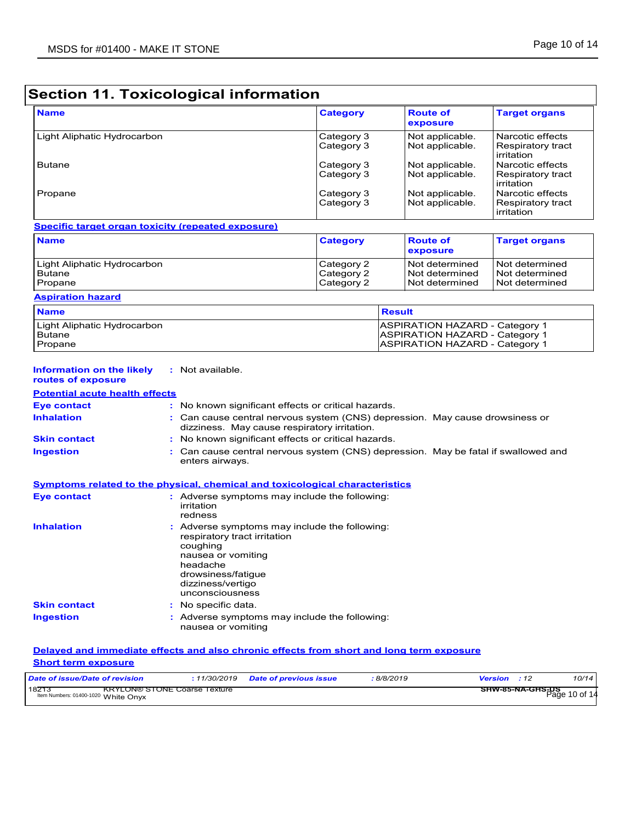## **Section 11. Toxicological information**

| <b>Name</b>                 | <b>Category</b>          | <b>Route of</b><br>exposure        | <b>Target organs</b>                                  |
|-----------------------------|--------------------------|------------------------------------|-------------------------------------------------------|
| Light Aliphatic Hydrocarbon | Category 3<br>Category 3 | Not applicable.<br>Not applicable. | Narcotic effects<br>Respiratory tract<br>irritation   |
| <b>Butane</b>               | Category 3<br>Category 3 | Not applicable.<br>Not applicable. | l Narcotic effects<br>Respiratory tract<br>irritation |
| Propane                     | Category 3<br>Category 3 | Not applicable.<br>Not applicable. | Narcotic effects<br>Respiratory tract<br>irritation   |

#### **Specific target organ toxicity (repeated exposure)**

| <b>Name</b>                 | <b>Category</b> | <b>Route of</b><br>exposure | <b>Target organs</b> |
|-----------------------------|-----------------|-----------------------------|----------------------|
| Light Aliphatic Hydrocarbon | Category 2      | Not determined              | Not determined       |
| <b>Butane</b>               | Category 2      | Not determined              | l Not determined     |
| Propane                     | Category 2      | Not determined              | l Not determined     |

#### **Aspiration hazard**

| <b>Name</b>                 | <b>Result</b>                         |
|-----------------------------|---------------------------------------|
| Light Aliphatic Hydrocarbon | <b>ASPIRATION HAZARD - Category 1</b> |
| Butane                      | <b>ASPIRATION HAZARD - Category 1</b> |
| Propane                     | <b>ASPIRATION HAZARD - Category 1</b> |

#### **Information on the likely :** Not available.

| routes of exposure                    |                                                                                                                              |  |
|---------------------------------------|------------------------------------------------------------------------------------------------------------------------------|--|
| <b>Potential acute health effects</b> |                                                                                                                              |  |
| <b>Eve contact</b>                    | : No known significant effects or critical hazards.                                                                          |  |
| <b>Inhalation</b>                     | : Can cause central nervous system (CNS) depression. May cause drowsiness or<br>dizziness. May cause respiratory irritation. |  |
| <b>Skin contact</b>                   | : No known significant effects or critical hazards.                                                                          |  |
| Ingestion                             | : Can cause central nervous system (CNS) depression. May be fatal if swallowed and<br>enters airways.                        |  |

#### **Symptoms related to the physical, chemical and toxicological characteristics Skin contact Ingestion Inhalation Adverse symptoms may include the following:** respiratory tract irritation coughing nausea or vomiting headache drowsiness/fatigue dizziness/vertigo unconsciousness Adverse symptoms may include the following: **:** No specific data. **: Eye contact :** Adverse symptoms may include the following: irritation redness

#### nausea or vomiting

#### **Delayed and immediate effects and also chronic effects from short and long term exposure Short term exposure**

| Date of issue/Date of revision                                                      |  | 8/8/2019 | <b>Version</b> : 12                      | 10/14 |
|-------------------------------------------------------------------------------------|--|----------|------------------------------------------|-------|
| 18213<br><b>KRYLON® STONE Coarse Texture</b><br>Item Numbers: 01400-1020 White Onvx |  |          | <b>SHW-85-NA-GHS-DS</b><br>Page 10 of 14 |       |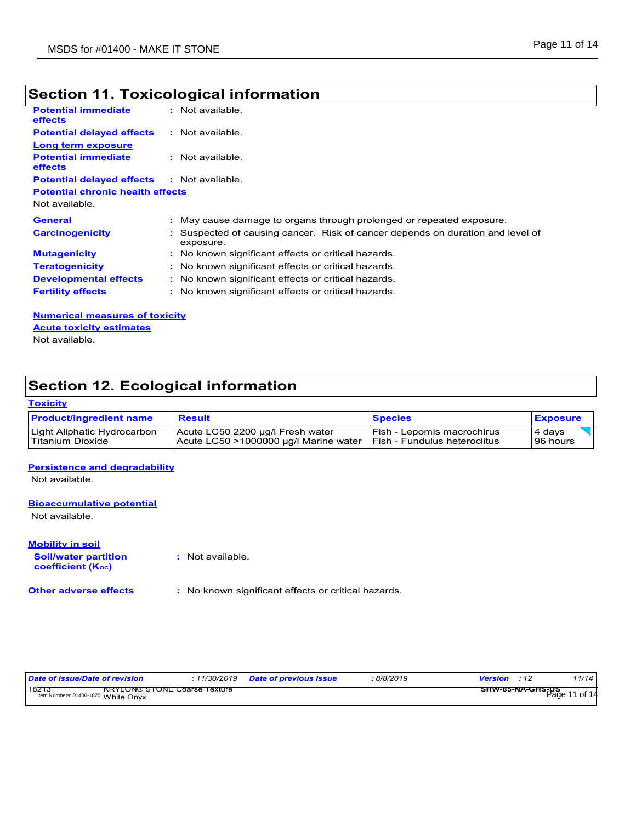## **Section 11. Toxicological information**

| <b>Potential immediate</b><br><b>effects</b> | $:$ Not available.                                                                          |
|----------------------------------------------|---------------------------------------------------------------------------------------------|
| <b>Potential delayed effects</b>             | : Not available.                                                                            |
| Long term exposure                           |                                                                                             |
| <b>Potential immediate</b><br><b>effects</b> | $:$ Not available.                                                                          |
| <b>Potential delayed effects</b>             | : Not available.                                                                            |
| <b>Potential chronic health effects</b>      |                                                                                             |
| Not available.                               |                                                                                             |
| <b>General</b>                               | : May cause damage to organs through prolonged or repeated exposure.                        |
| <b>Carcinogenicity</b>                       | : Suspected of causing cancer. Risk of cancer depends on duration and level of<br>exposure. |
| <b>Mutagenicity</b>                          | : No known significant effects or critical hazards.                                         |
| <b>Teratogenicity</b>                        | : No known significant effects or critical hazards.                                         |
| <b>Developmental effects</b>                 | : No known significant effects or critical hazards.                                         |
| <b>Fertility effects</b>                     | : No known significant effects or critical hazards.                                         |
|                                              |                                                                                             |

**Numerical measures of toxicity** Not available. **Acute toxicity estimates**

## **Section 12. Ecological information**

#### **Toxicity**

| <b>Product/ingredient name</b> | <b>Result</b>                         | <b>Species</b>                       | <b>Exposure</b> |
|--------------------------------|---------------------------------------|--------------------------------------|-----------------|
| Light Aliphatic Hydrocarbon    | Acute LC50 2200 µg/l Fresh water      | Fish - Lepomis macrochirus           | 4 days          |
| l Titanium Dioxide             | Acute LC50 >1000000 µg/l Marine water | <b>IFish - Fundulus heteroclitus</b> | 96 hours        |

#### **Persistence and degradability**

Not available.

#### **Bioaccumulative potential**

Not available.

**Mobility in soil**

**:** Not available.

**Soil/water partition coefficient (KOC)**

**Other adverse effects :** No known significant effects or critical hazards.

| Date of issue/Date of revision                                                     | : 11/30/2019 Date of previous issue | 8/8/2019 | <b>Version</b> : 12 | 11/14            |
|------------------------------------------------------------------------------------|-------------------------------------|----------|---------------------|------------------|
| 1827<br><b>KRYLON® STONE Coarse Texture</b><br>Item Numbers: 01400-1020 White Onvx |                                     |          | SHW-85-NA-GHS-US    | $P$ age 11 of 14 |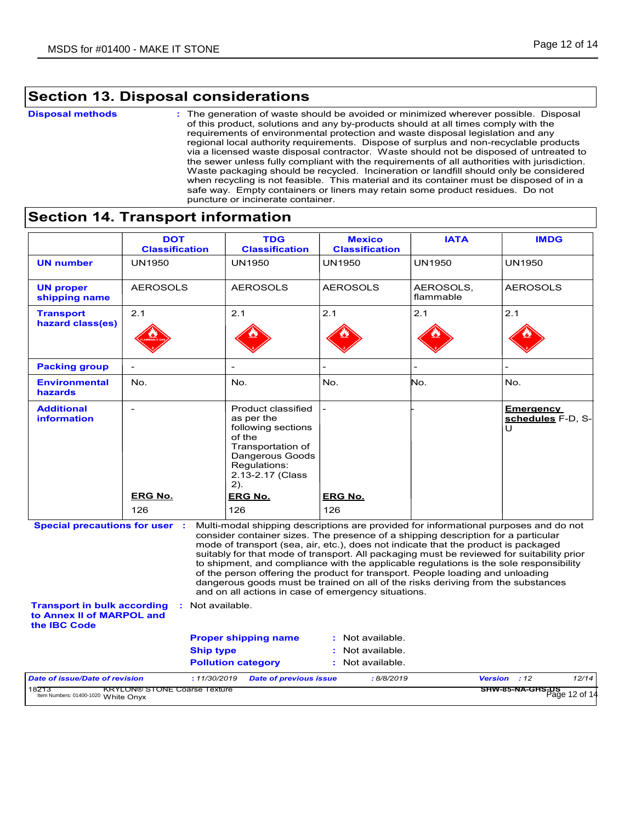## **Section 13. Disposal considerations**

#### **Disposal methods :**

The generation of waste should be avoided or minimized wherever possible. Disposal of this product, solutions and any by-products should at all times comply with the requirements of environmental protection and waste disposal legislation and any regional local authority requirements. Dispose of surplus and non-recyclable products via a licensed waste disposal contractor. Waste should not be disposed of untreated to the sewer unless fully compliant with the requirements of all authorities with jurisdiction. Waste packaging should be recycled. Incineration or landfill should only be considered when recycling is not feasible. This material and its container must be disposed of in a safe way. Empty containers or liners may retain some product residues. Do not puncture or incinerate container.

### **Section 14. Transport information**

|                                                                                        | <b>DOT</b><br><b>Classification</b>     | <b>TDG</b><br><b>Classification</b>                                                                                                                                                                                                                                                                                                                                                                                                                                                                                                                                                         | <b>Mexico</b><br><b>Classification</b> | <b>IATA</b>            | <b>IMDG</b>                                |  |
|----------------------------------------------------------------------------------------|-----------------------------------------|---------------------------------------------------------------------------------------------------------------------------------------------------------------------------------------------------------------------------------------------------------------------------------------------------------------------------------------------------------------------------------------------------------------------------------------------------------------------------------------------------------------------------------------------------------------------------------------------|----------------------------------------|------------------------|--------------------------------------------|--|
| <b>UN number</b>                                                                       | <b>UN1950</b>                           | <b>UN1950</b>                                                                                                                                                                                                                                                                                                                                                                                                                                                                                                                                                                               | UN1950                                 | <b>UN1950</b>          | <b>UN1950</b>                              |  |
| <b>UN proper</b><br>shipping name                                                      | <b>AEROSOLS</b>                         | <b>AEROSOLS</b>                                                                                                                                                                                                                                                                                                                                                                                                                                                                                                                                                                             | <b>AEROSOLS</b>                        | AEROSOLS,<br>flammable | <b>AEROSOLS</b>                            |  |
| <b>Transport</b><br>hazard class(es)                                                   | 2.1                                     | 2.1                                                                                                                                                                                                                                                                                                                                                                                                                                                                                                                                                                                         | 2.1                                    | 2.1                    | 2.1                                        |  |
| <b>Packing group</b>                                                                   |                                         |                                                                                                                                                                                                                                                                                                                                                                                                                                                                                                                                                                                             |                                        |                        |                                            |  |
| <b>Environmental</b><br><b>hazards</b>                                                 | No.                                     | No.                                                                                                                                                                                                                                                                                                                                                                                                                                                                                                                                                                                         | No.                                    | No.                    | No.                                        |  |
| <b>Additional</b><br>information<br><b>Special precautions for user :</b>              | $\overline{a}$<br><b>ERG No.</b><br>126 | Product classified<br>as per the<br>following sections<br>of the<br>Transportation of<br>Dangerous Goods<br>Regulations:<br>2.13-2.17 (Class<br>$2)$ .<br><b>ERG No.</b><br>126<br>Multi-modal shipping descriptions are provided for informational purposes and do not                                                                                                                                                                                                                                                                                                                     | <b>ERG No.</b><br>126                  |                        | <b>Emergency</b><br>schedules F-D. S-<br>U |  |
|                                                                                        |                                         | consider container sizes. The presence of a shipping description for a particular<br>mode of transport (sea, air, etc.), does not indicate that the product is packaged<br>suitably for that mode of transport. All packaging must be reviewed for suitability prior<br>to shipment, and compliance with the applicable regulations is the sole responsibility<br>of the person offering the product for transport. People loading and unloading<br>dangerous goods must be trained on all of the risks deriving from the substances<br>and on all actions in case of emergency situations. |                                        |                        |                                            |  |
| <b>Transport in bulk according</b><br>to Annex II of MARPOL and<br>the <b>IBC</b> Code |                                         | : Not available.                                                                                                                                                                                                                                                                                                                                                                                                                                                                                                                                                                            |                                        |                        |                                            |  |
|                                                                                        |                                         | <b>Proper shipping name</b>                                                                                                                                                                                                                                                                                                                                                                                                                                                                                                                                                                 | : Not available.                       |                        |                                            |  |
|                                                                                        |                                         | <b>Ship type</b>                                                                                                                                                                                                                                                                                                                                                                                                                                                                                                                                                                            | : Not available.                       |                        |                                            |  |
|                                                                                        |                                         |                                                                                                                                                                                                                                                                                                                                                                                                                                                                                                                                                                                             |                                        |                        |                                            |  |
|                                                                                        |                                         | <b>Pollution category</b>                                                                                                                                                                                                                                                                                                                                                                                                                                                                                                                                                                   | : Not available.                       |                        |                                            |  |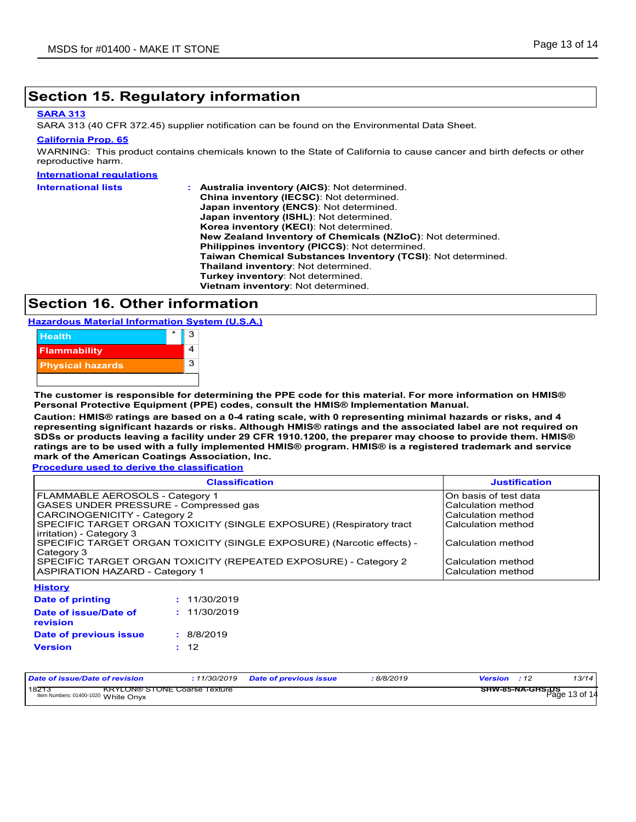### **Section 15. Regulatory information**

#### **SARA 313**

SARA 313 (40 CFR 372.45) supplier notification can be found on the Environmental Data Sheet.

#### **California Prop. 65**

WARNING: This product contains chemicals known to the State of California to cause cancer and birth defects or other reproductive harm.

#### **International regulations**

| <b>International lists</b> | <b>Australia inventory (AICS): Not determined.</b>           |
|----------------------------|--------------------------------------------------------------|
|                            | China inventory (IECSC): Not determined.                     |
|                            | Japan inventory (ENCS): Not determined.                      |
|                            | Japan inventory (ISHL): Not determined.                      |
|                            | Korea inventory (KECI): Not determined.                      |
|                            | New Zealand Inventory of Chemicals (NZIoC): Not determined.  |
|                            | Philippines inventory (PICCS): Not determined.               |
|                            | Taiwan Chemical Substances Inventory (TCSI): Not determined. |
|                            | Thailand inventory: Not determined.                          |
|                            | Turkey inventory: Not determined.                            |
|                            | Vietnam inventory: Not determined.                           |

## **Section 16. Other information**

**Hazardous Material Information System (U.S.A.)**



**The customer is responsible for determining the PPE code for this material. For more information on HMIS® Personal Protective Equipment (PPE) codes, consult the HMIS® Implementation Manual.**

**Caution: HMIS® ratings are based on a 0-4 rating scale, with 0 representing minimal hazards or risks, and 4 representing significant hazards or risks. Although HMIS® ratings and the associated label are not required on SDSs or products leaving a facility under 29 CFR 1910.1200, the preparer may choose to provide them. HMIS® ratings are to be used with a fully implemented HMIS® program. HMIS® is a registered trademark and service mark of the American Coatings Association, Inc.**

**Procedure used to derive the classification**

| <b>Classification</b>                                                 | <b>Justification</b>  |
|-----------------------------------------------------------------------|-----------------------|
| FLAMMABLE AEROSOLS - Category 1                                       | On basis of test data |
| GASES UNDER PRESSURE - Compressed gas                                 | Calculation method    |
| <b>CARCINOGENICITY - Category 2</b>                                   | Calculation method    |
| SPECIFIC TARGET ORGAN TOXICITY (SINGLE EXPOSURE) (Respiratory tract   | Calculation method    |
| irritation) - Category 3                                              |                       |
| SPECIFIC TARGET ORGAN TOXICITY (SINGLE EXPOSURE) (Narcotic effects) - | Calculation method    |
| Category 3                                                            |                       |
| SPECIFIC TARGET ORGAN TOXICITY (REPEATED EXPOSURE) - Category 2       | Calculation method    |
| <b>ASPIRATION HAZARD - Category 1</b>                                 | Calculation method    |
| <b>History</b>                                                        |                       |

| <b>THOLDIY</b>                    |              |
|-----------------------------------|--------------|
| <b>Date of printing</b>           | : 11/30/2019 |
| Date of issue/Date of<br>revision | : 11/30/2019 |
| Date of previous issue            | : 8/8/2019   |
| <b>Version</b>                    | : 12         |
|                                   |              |

| Date of issue/Date of revision                                                      | 11/30/2019 | Date of previous issue | 8/8/2019 | <b>Version</b> : 12                      | 13/14 |
|-------------------------------------------------------------------------------------|------------|------------------------|----------|------------------------------------------|-------|
| 18213<br><b>KRYLON® STONE Coarse Texture</b><br>Item Numbers: 01400-1020 White Onyx |            |                        |          | <b>SHW-85-NA-GHS-DS</b><br>Page 13 of 14 |       |